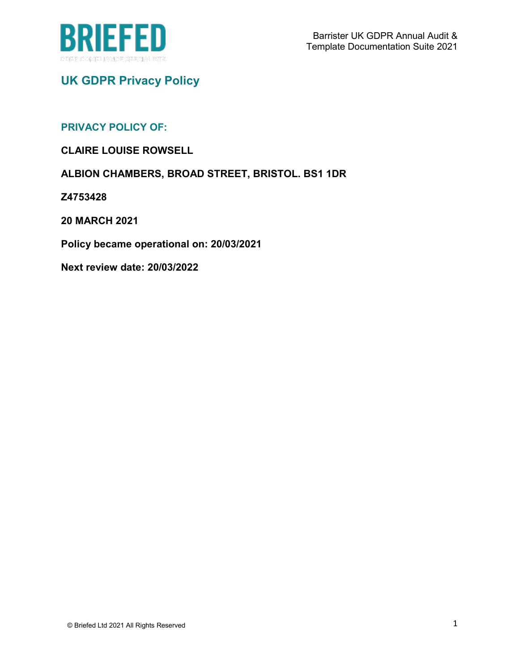

# **UK GDPR Privacy Policy**

## **PRIVACY POLICY OF:**

**CLAIRE LOUISE ROWSELL**

**ALBION CHAMBERS, BROAD STREET, BRISTOL. BS1 1DR**

**Z4753428**

**20 MARCH 2021**

**Policy became operational on: 20/03/2021**

**Next review date: 20/03/2022**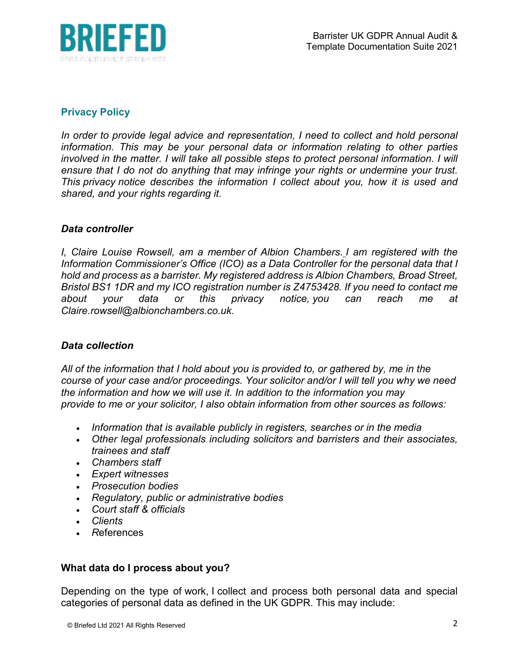

# **Privacy Policy**

In order to provide legal advice and representation, I need to collect and hold personal *information. This may be your personal data or information relating to other parties involved in the matter. I will take all possible steps to protect personal information. I will ensure that I do not do anything that may infringe your rights or undermine your trust. This privacy notice describes the information I collect about you, how it is used and shared, and your rights regarding it.*

## *Data controller*

*I, Claire Louise Rowsell, am a member of Albion Chambers. I am registered with the Information Commissioner's Office (ICO) as a Data Controller for the personal data that I hold and process as a barrister. My registered address is Albion Chambers, Broad Street, Bristol BS1 1DR and my ICO registration number is Z4753428. If you need to contact me about your data or this privacy notice, you can reach me at Claire.rowsell@albionchambers.co.uk.*

## *Data collection*

*All of the information that I hold about you is provided to, or gathered by, me in the course of your case and/or proceedings. Your solicitor and/or I will tell you why we need the information and how we will use it. In addition to the information you may provide to me or your solicitor, I also obtain information from other sources as follows:*

- *Information that is available publicly in registers, searches or in the media*
- *Other legal professionals including solicitors and barristers and their associates, trainees and staff*
- *Chambers staff*
- *Expert witnesses*
- *Prosecution bodies*
- *Regulatory, public or administrative bodies*
- *Court staff & officials*
- *Clients*
- *R*eferences

# **What data do I process about you?**

Depending on the type of work, I collect and process both personal data and special categories of personal data as defined in the UK GDPR. This may include: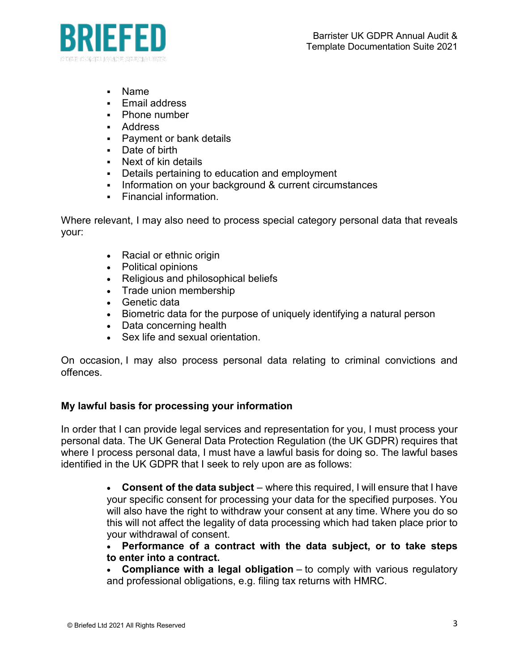

- Name
- **Email address**
- Phone number
- Address
- **Payment or bank details**
- Date of birth
- Next of kin details
- Details pertaining to education and employment
- Information on your background & current circumstances
- **Financial information.**

Where relevant, I may also need to process special category personal data that reveals your:

- Racial or ethnic origin
- Political opinions
- Religious and philosophical beliefs
- Trade union membership
- Genetic data
- Biometric data for the purpose of uniquely identifying a natural person
- Data concerning health
- Sex life and sexual orientation.

On occasion, I may also process personal data relating to criminal convictions and offences.

## **My lawful basis for processing your information**

In order that I can provide legal services and representation for you, I must process your personal data. The UK General Data Protection Regulation (the UK GDPR) requires that where I process personal data, I must have a lawful basis for doing so. The lawful bases identified in the UK GDPR that I seek to rely upon are as follows:

> • **Consent of the data subject** – where this required, I will ensure that I have your specific consent for processing your data for the specified purposes. You will also have the right to withdraw your consent at any time. Where you do so this will not affect the legality of data processing which had taken place prior to your withdrawal of consent.

> • **Performance of a contract with the data subject, or to take steps to enter into a contract.**

> • **Compliance with a legal obligation** – to comply with various regulatory and professional obligations, e.g. filing tax returns with HMRC.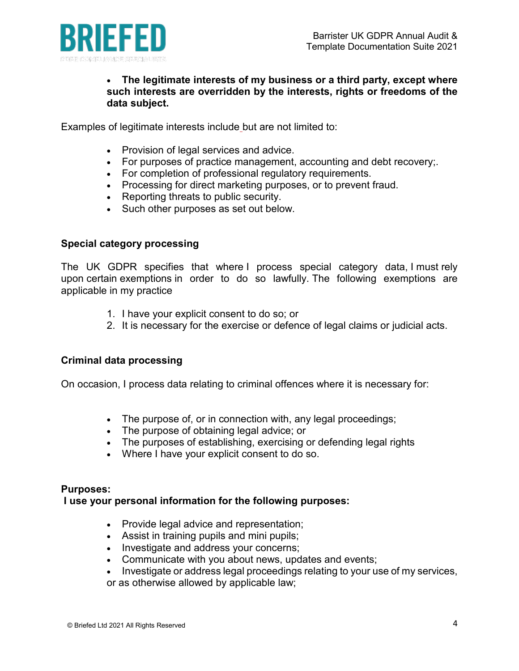

## • **The legitimate interests of my business or a third party, except where such interests are overridden by the interests, rights or freedoms of the data subject.**

Examples of legitimate interests include but are not limited to:

- Provision of legal services and advice.
- For purposes of practice management, accounting and debt recovery;.
- For completion of professional regulatory requirements.
- Processing for direct marketing purposes, or to prevent fraud.
- Reporting threats to public security.
- Such other purposes as set out below.

#### **Special category processing**

The UK GDPR specifies that where I process special category data, I must rely upon certain exemptions in order to do so lawfully. The following exemptions are applicable in my practice

- 1. I have your explicit consent to do so; or
- 2. It is necessary for the exercise or defence of legal claims or judicial acts.

## **Criminal data processing**

On occasion, I process data relating to criminal offences where it is necessary for:

- The purpose of, or in connection with, any legal proceedings;
- The purpose of obtaining legal advice; or
- The purposes of establishing, exercising or defending legal rights
- Where I have your explicit consent to do so.

#### **Purposes:**

#### **I use your personal information for the following purposes:**

- Provide legal advice and representation;
- Assist in training pupils and mini pupils;
- Investigate and address your concerns;
- Communicate with you about news, updates and events;
- Investigate or address legal proceedings relating to your use of my services,
- or as otherwise allowed by applicable law;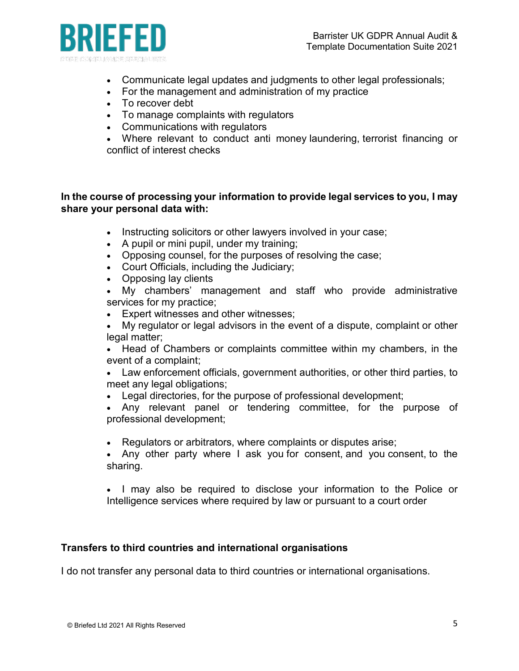

- Communicate legal updates and judgments to other legal professionals;
- For the management and administration of my practice
- To recover debt
- To manage complaints with regulators
- Communications with regulators

• Where relevant to conduct anti money laundering, terrorist financing or conflict of interest checks

## **In the course of processing your information to provide legal services to you, I may share your personal data with:**

- Instructing solicitors or other lawyers involved in your case;
- A pupil or mini pupil, under my training;
- Opposing counsel, for the purposes of resolving the case;
- Court Officials, including the Judiciary;
- Opposing lay clients
- My chambers' management and staff who provide administrative services for my practice;
- Expert witnesses and other witnesses;
- My regulator or legal advisors in the event of a dispute, complaint or other legal matter:
- Head of Chambers or complaints committee within my chambers, in the event of a complaint;
- Law enforcement officials, government authorities, or other third parties, to meet any legal obligations:
- Legal directories, for the purpose of professional development;

• Any relevant panel or tendering committee, for the purpose of professional development;

- Regulators or arbitrators, where complaints or disputes arise;
- Any other party where I ask you for consent, and you consent, to the sharing.

• I may also be required to disclose your information to the Police or Intelligence services where required by law or pursuant to a court order

## **Transfers to third countries and international organisations**

I do not transfer any personal data to third countries or international organisations.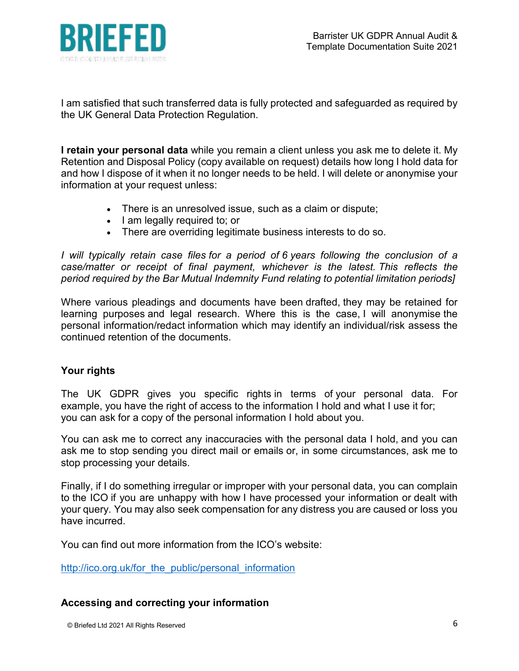

I am satisfied that such transferred data is fully protected and safeguarded as required by the UK General Data Protection Regulation.

**I retain your personal data** while you remain a client unless you ask me to delete it. My Retention and Disposal Policy (copy available on request) details how long I hold data for and how I dispose of it when it no longer needs to be held. I will delete or anonymise your information at your request unless:

- There is an unresolved issue, such as a claim or dispute;
- I am legally required to; or
- There are overriding legitimate business interests to do so.

*I will typically retain case files for a period of 6 years following the conclusion of a case/matter or receipt of final payment, whichever is the latest. This reflects the period required by the Bar Mutual Indemnity Fund relating to potential limitation periods]*

Where various pleadings and documents have been drafted, they may be retained for learning purposes and legal research. Where this is the case, I will anonymise the personal information/redact information which may identify an individual/risk assess the continued retention of the documents.

# **Your rights**

The UK GDPR gives you specific rights in terms of your personal data. For example, you have the right of access to the information I hold and what I use it for; you can ask for a copy of the personal information I hold about you.

You can ask me to correct any inaccuracies with the personal data I hold, and you can ask me to stop sending you direct mail or emails or, in some circumstances, ask me to stop processing your details.

Finally, if I do something irregular or improper with your personal data, you can complain to the ICO if you are unhappy with how I have processed your information or dealt with your query. You may also seek compensation for any distress you are caused or loss you have incurred.

You can find out more information from the ICO's website:

http://ico.org.uk/for the public/personal information

## **Accessing and correcting your information**